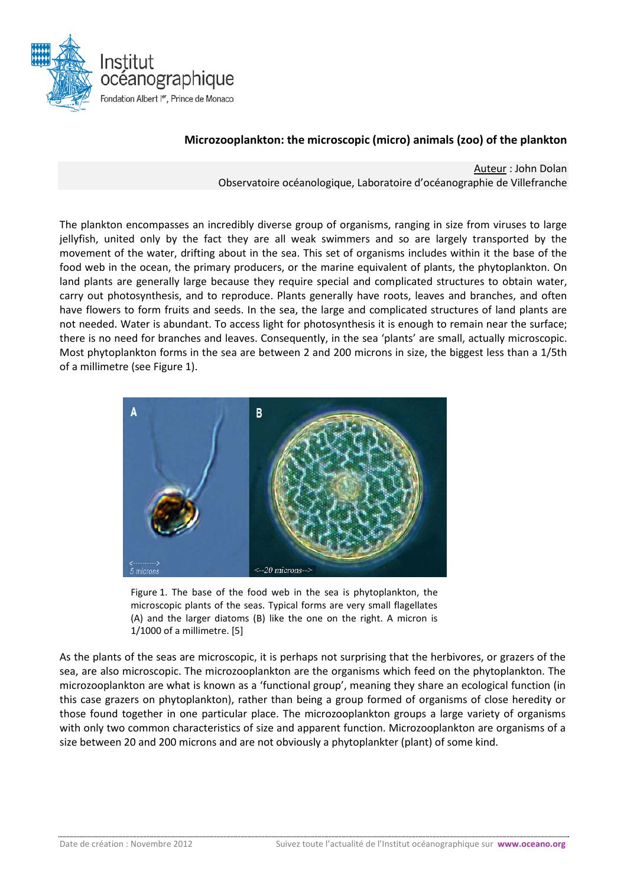

## **Microzooplankton: the microscopic (micro) animals (zoo) of the plankton**

Auteur : John Dolan Observatoire océanologique, Laboratoire d'océanographie de Villefranche

The plankton encompasses an incredibly diverse group of organisms, ranging in size from viruses to large jellyfish, united only by the fact they are all weak swimmers and so are largely transported by the movement of the water, drifting about in the sea. This set of organisms includes within it the base of the food web in the ocean, the primary producers, or the marine equivalent of plants, the phytoplankton. On land plants are generally large because they require special and complicated structures to obtain water, carry out photosynthesis, and to reproduce. Plants generally have roots, leaves and branches, and often have flowers to form fruits and seeds. In the sea, the large and complicated structures of land plants are not needed. Water is abundant. To access light for photosynthesis it is enough to remain near the surface; there is no need for branches and leaves. Consequently, in the sea 'plants' are small, actually microscopic. Most phytoplankton forms in the sea are between 2 and 200 microns in size, the biggest less than a 1/5th of a millimetre (see Figure 1).



Figure 1. The base of the food web in the sea is phytoplankton, the microscopic plants of the seas. Typical forms are very small flagellates (A) and the larger diatoms (B) like the one on the right. A micron is 1/1000 of a millimetre. [5]

As the plants of the seas are microscopic, it is perhaps not surprising that the herbivores, or grazers of the sea, are also microscopic. The microzooplankton are the organisms which feed on the phytoplankton. The microzooplankton are what is known as a 'functional group', meaning they share an ecological function (in this case grazers on phytoplankton), rather than being a group formed of organisms of close heredity or those found together in one particular place. The microzooplankton groups a large variety of organisms with only two common characteristics of size and apparent function. Microzooplankton are organisms of a size between 20 and 200 microns and are not obviously a phytoplankter (plant) of some kind.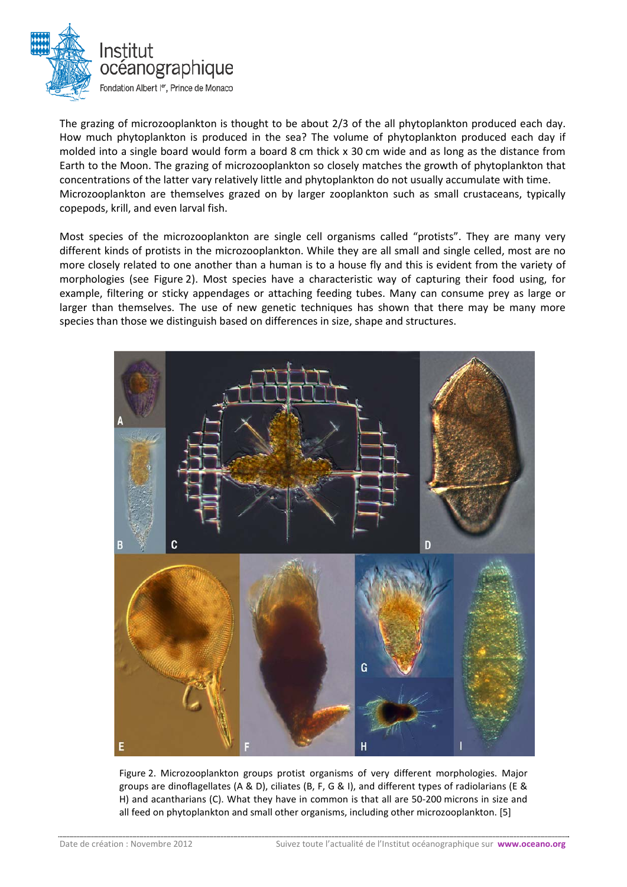

The grazing of microzooplankton is thought to be about 2/3 of the all phytoplankton produced each day. How much phytoplankton is produced in the sea? The volume of phytoplankton produced each day if molded into a single board would form a board 8 cm thick x 30 cm wide and as long as the distance from Earth to the Moon. The grazing of microzooplankton so closely matches the growth of phytoplankton that concentrations of the latter vary relatively little and phytoplankton do not usually accumulate with time. Microzooplankton are themselves grazed on by larger zooplankton such as small crustaceans, typically copepods, krill, and even larval fish.

Most species of the microzooplankton are single cell organisms called "protists". They are many very different kinds of protists in the microzooplankton. While they are all small and single celled, most are no more closely related to one another than a human is to a house fly and this is evident from the variety of morphologies (see Figure 2). Most species have a characteristic way of capturing their food using, for example, filtering or sticky appendages or attaching feeding tubes. Many can consume prey as large or larger than themselves. The use of new genetic techniques has shown that there may be many more species than those we distinguish based on differences in size, shape and structures.



Figure 2. Microzooplankton groups protist organisms of very different morphologies. Major groups are dinoflagellates (A & D), ciliates (B, F, G & I), and different types of radiolarians (E & H) and acantharians (C). What they have in common is that all are 50-200 microns in size and all feed on phytoplankton and small other organisms, including other microzooplankton. [5]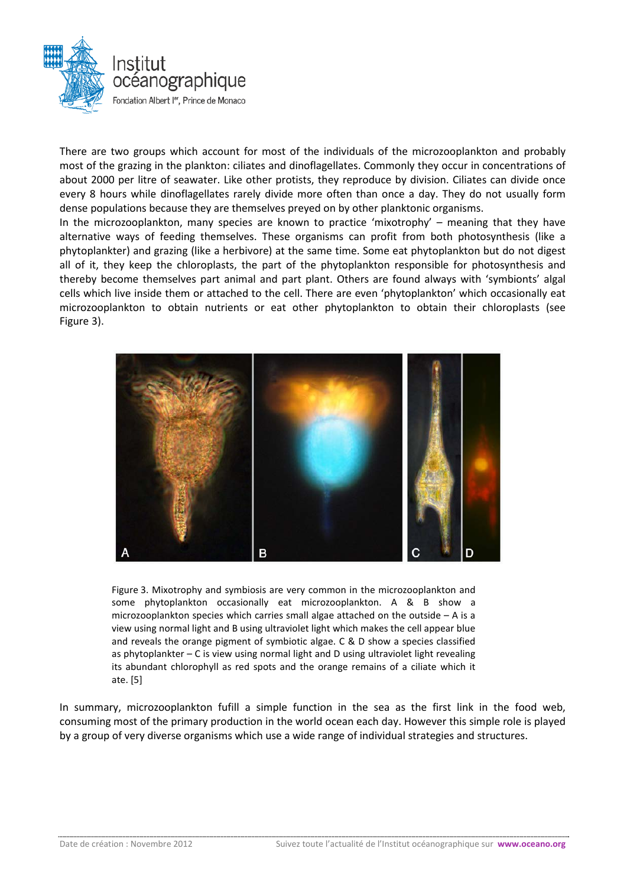

There are two groups which account for most of the individuals of the microzooplankton and probably most of the grazing in the plankton: ciliates and dinoflagellates. Commonly they occur in concentrations of about 2000 per litre of seawater. Like other protists, they reproduce by division. Ciliates can divide once every 8 hours while dinoflagellates rarely divide more often than once a day. They do not usually form dense populations because they are themselves preyed on by other planktonic organisms.

In the microzooplankton, many species are known to practice 'mixotrophy' – meaning that they have alternative ways of feeding themselves. These organisms can profit from both photosynthesis (like a phytoplankter) and grazing (like a herbivore) at the same time. Some eat phytoplankton but do not digest all of it, they keep the chloroplasts, the part of the phytoplankton responsible for photosynthesis and thereby become themselves part animal and part plant. Others are found always with 'symbionts' algal cells which live inside them or attached to the cell. There are even 'phytoplankton' which occasionally eat microzooplankton to obtain nutrients or eat other phytoplankton to obtain their chloroplasts (see Figure 3).



Figure 3. Mixotrophy and symbiosis are very common in the microzooplankton and some phytoplankton occasionally eat microzooplankton. A & B show a microzooplankton species which carries small algae attached on the outside – A is a view using normal light and B using ultraviolet light which makes the cell appear blue and reveals the orange pigment of symbiotic algae. C & D show a species classified as phytoplankter – C is view using normal light and D using ultraviolet light revealing its abundant chlorophyll as red spots and the orange remains of a ciliate which it ate. [5]

In summary, microzooplankton fufill a simple function in the sea as the first link in the food web, consuming most of the primary production in the world ocean each day. However this simple role is played by a group of very diverse organisms which use a wide range of individual strategies and structures.